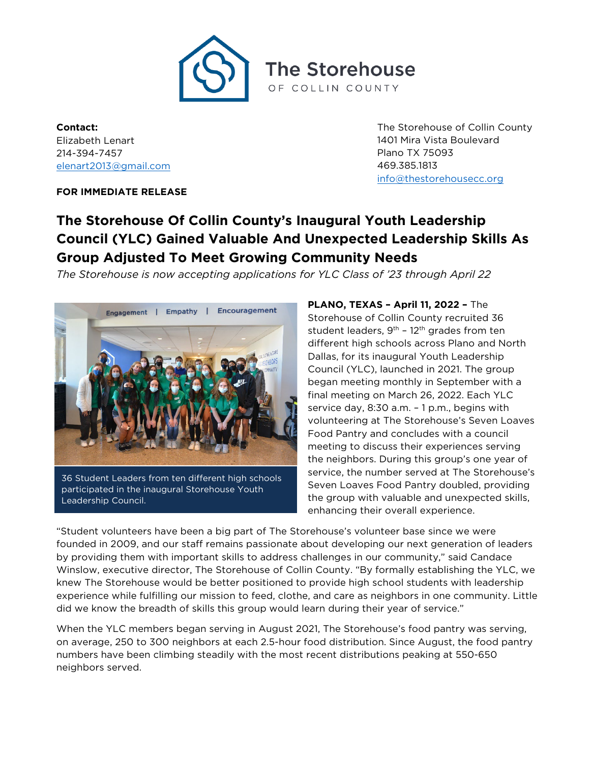

**Contact:** Elizabeth Lenart 214-394-7457 [elenart2013@gmail.com](mailto:elenart2013@gmail.com)

The Storehouse of Collin County 1401 Mira Vista Boulevard Plano TX 75093 469.385.1813 [info@thestorehousecc.org](mailto:info@thestorehousecc.org)

## **FOR IMMEDIATE RELEASE**

## **The Storehouse Of Collin County's Inaugural Youth Leadership Council (YLC) Gained Valuable And Unexpected Leadership Skills As Group Adjusted To Meet Growing Community Needs**

*The Storehouse is now accepting applications for YLC Class of '23 through April 22*



36 Student Leaders from ten different high schools participated in the inaugural Storehouse Youth Leadership Council.

**PLANO, TEXAS – April 11, 2022 –** The Storehouse of Collin County recruited 36 student leaders,  $9<sup>th</sup>$  – 12<sup>th</sup> grades from ten different high schools across Plano and North Dallas, for its inaugural Youth Leadership Council (YLC), launched in 2021. The group began meeting monthly in September with a final meeting on March 26, 2022. Each YLC service day, 8:30 a.m. – 1 p.m., begins with volunteering at The Storehouse's Seven Loaves Food Pantry and concludes with a council meeting to discuss their experiences serving the neighbors. During this group's one year of service, the number served at The Storehouse's Seven Loaves Food Pantry doubled, providing the group with valuable and unexpected skills, enhancing their overall experience.

"Student volunteers have been a big part of The Storehouse's volunteer base since we were founded in 2009, and our staff remains passionate about developing our next generation of leaders by providing them with important skills to address challenges in our community," said Candace Winslow, executive director, The Storehouse of Collin County. "By formally establishing the YLC, we knew The Storehouse would be better positioned to provide high school students with leadership experience while fulfilling our mission to feed, clothe, and care as neighbors in one community. Little did we know the breadth of skills this group would learn during their year of service."

When the YLC members began serving in August 2021, The Storehouse's food pantry was serving, on average, 250 to 300 neighbors at each 2.5-hour food distribution. Since August, the food pantry numbers have been climbing steadily with the most recent distributions peaking at 550-650 neighbors served.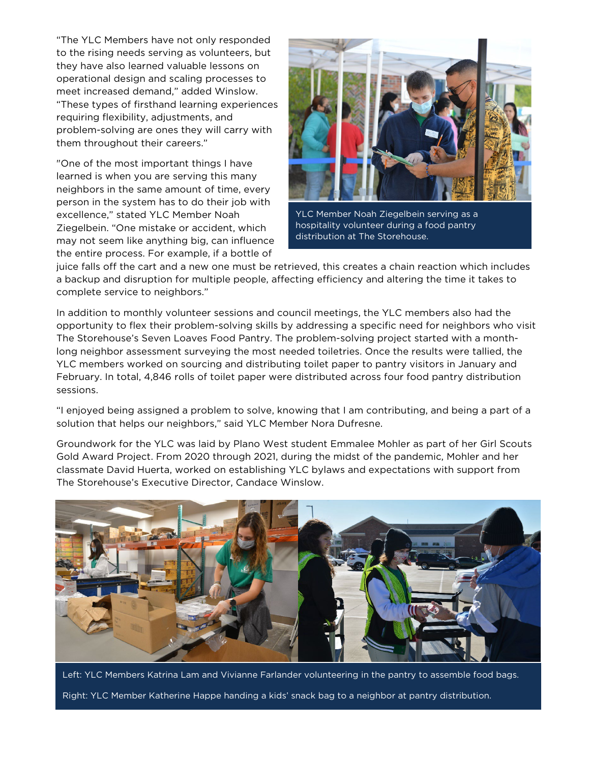"The YLC Members have not only responded to the rising needs serving as volunteers, but they have also learned valuable lessons on operational design and scaling processes to meet increased demand," added Winslow. "These types of firsthand learning experiences requiring flexibility, adjustments, and problem-solving are ones they will carry with them throughout their careers."

"One of the most important things I have learned is when you are serving this many neighbors in the same amount of time, every person in the system has to do their job with excellence," stated YLC Member Noah Ziegelbein. "One mistake or accident, which may not seem like anything big, can influence the entire process. For example, if a bottle of



YLC Member Noah Ziegelbein serving as a hospitality volunteer during a food pantry distribution at The Storehouse.

juice falls off the cart and a new one must be retrieved, this creates a chain reaction which includes a backup and disruption for multiple people, affecting efficiency and altering the time it takes to complete service to neighbors."

In addition to monthly volunteer sessions and council meetings, the YLC members also had the opportunity to flex their problem-solving skills by addressing a specific need for neighbors who visit The Storehouse's Seven Loaves Food Pantry. The problem-solving project started with a monthlong neighbor assessment surveying the most needed toiletries. Once the results were tallied, the YLC members worked on sourcing and distributing toilet paper to pantry visitors in January and February. In total, 4,846 rolls of toilet paper were distributed across four food pantry distribution sessions.

"I enjoyed being assigned a problem to solve, knowing that I am contributing, and being a part of a solution that helps our neighbors," said YLC Member Nora Dufresne.

Groundwork for the YLC was laid by Plano West student Emmalee Mohler as part of her Girl Scouts Gold Award Project. From 2020 through 2021, during the midst of the pandemic, Mohler and her classmate David Huerta, worked on establishing YLC bylaws and expectations with support from The Storehouse's Executive Director, Candace Winslow.



Left: YLC Members Katrina Lam and Vivianne Farlander volunteering in the pantry to assemble food bags. Right: YLC Member Katherine Happe handing a kids' snack bag to a neighbor at pantry distribution.